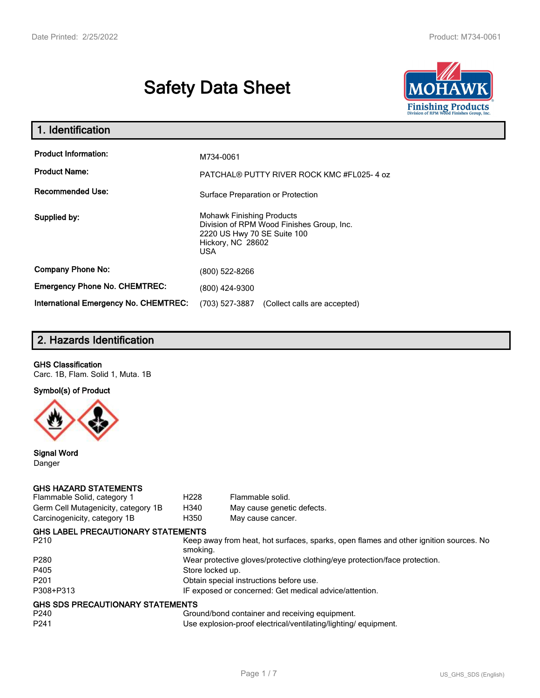# **Safety Data Sheet**



| 1. Identification                     |                                                                                                                                           |  |
|---------------------------------------|-------------------------------------------------------------------------------------------------------------------------------------------|--|
| <b>Product Information:</b>           | M734-0061                                                                                                                                 |  |
| <b>Product Name:</b>                  | PATCHAL® PUTTY RIVER ROCK KMC #FL025-4 oz                                                                                                 |  |
| <b>Recommended Use:</b>               | Surface Preparation or Protection                                                                                                         |  |
| Supplied by:                          | <b>Mohawk Finishing Products</b><br>Division of RPM Wood Finishes Group, Inc.<br>2220 US Hwy 70 SE Suite 100<br>Hickory, NC 28602<br>USA. |  |
| <b>Company Phone No:</b>              | (800) 522-8266                                                                                                                            |  |
| <b>Emergency Phone No. CHEMTREC:</b>  | (800) 424-9300                                                                                                                            |  |
| International Emergency No. CHEMTREC: | (703) 527-3887<br>(Collect calls are accepted)                                                                                            |  |

# **2. Hazards Identification**

#### **GHS Classification**

Carc. 1B, Flam. Solid 1, Muta. 1B

**Symbol(s) of Product**



**Signal Word** Danger

#### **GHS HAZARD STATEMENTS**

| Flammable Solid, category 1               | H <sub>228</sub>                                                           | Flammable solid.                                                                      |  |
|-------------------------------------------|----------------------------------------------------------------------------|---------------------------------------------------------------------------------------|--|
| Germ Cell Mutagenicity, category 1B       | H340                                                                       | May cause genetic defects.                                                            |  |
| Carcinogenicity, category 1B              | H350                                                                       | May cause cancer.                                                                     |  |
| <b>GHS LABEL PRECAUTIONARY STATEMENTS</b> |                                                                            |                                                                                       |  |
| P210                                      | smoking.                                                                   | Keep away from heat, hot surfaces, sparks, open flames and other ignition sources. No |  |
| P280                                      | Wear protective gloves/protective clothing/eye protection/face protection. |                                                                                       |  |
| P405                                      | Store locked up.                                                           |                                                                                       |  |
| P201                                      | Obtain special instructions before use.                                    |                                                                                       |  |
| P308+P313                                 | IF exposed or concerned: Get medical advice/attention.                     |                                                                                       |  |
| GHS SDS PRECAUTIONARY STATEMENTS          |                                                                            |                                                                                       |  |
| P240                                      |                                                                            | Ground/bond container and receiving equipment.                                        |  |
| P241                                      |                                                                            | Use explosion-proof electrical/ventilating/lighting/equipment.                        |  |
|                                           |                                                                            |                                                                                       |  |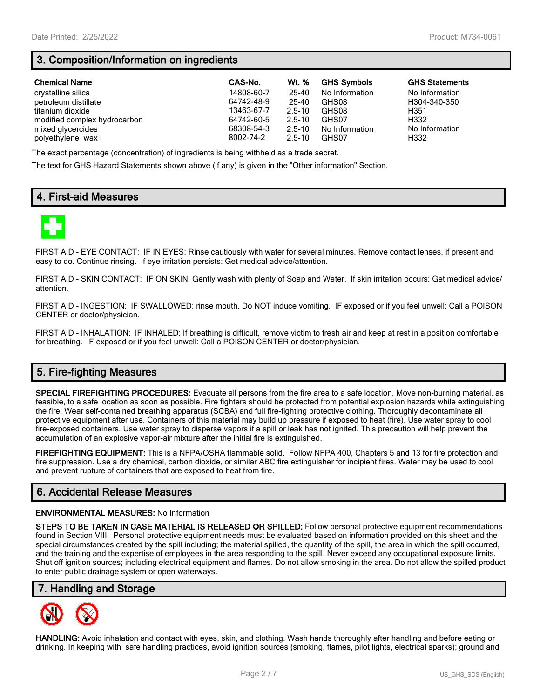# **3. Composition/Information on ingredients**

| <b>Chemical Name</b>         | CAS-No.    | Wt. %      | <b>GHS Symbols</b> | <b>GHS Statements</b> |
|------------------------------|------------|------------|--------------------|-----------------------|
| crystalline silica           | 14808-60-7 | 25-40      | No Information     | No Information        |
| petroleum distillate         | 64742-48-9 | 25-40      | GHS08              | H304-340-350          |
| titanium dioxide             | 13463-67-7 | $2.5 - 10$ | GHS08              | H351                  |
| modified complex hydrocarbon | 64742-60-5 | $2.5 - 10$ | GHS07              | H332                  |
| mixed glycercides            | 68308-54-3 | $2.5 - 10$ | No Information     | No Information        |
| polyethylene wax             | 8002-74-2  | $2.5 - 10$ | GHS07              | H332                  |

The exact percentage (concentration) of ingredients is being withheld as a trade secret.

The text for GHS Hazard Statements shown above (if any) is given in the "Other information" Section.

# **4. First-aid Measures**



FIRST AID - EYE CONTACT: IF IN EYES: Rinse cautiously with water for several minutes. Remove contact lenses, if present and easy to do. Continue rinsing. If eye irritation persists: Get medical advice/attention.

FIRST AID - SKIN CONTACT: IF ON SKIN: Gently wash with plenty of Soap and Water. If skin irritation occurs: Get medical advice/ attention.

FIRST AID - INGESTION: IF SWALLOWED: rinse mouth. Do NOT induce vomiting. IF exposed or if you feel unwell: Call a POISON CENTER or doctor/physician.

FIRST AID - INHALATION: IF INHALED: If breathing is difficult, remove victim to fresh air and keep at rest in a position comfortable for breathing. IF exposed or if you feel unwell: Call a POISON CENTER or doctor/physician.

# **5. Fire-fighting Measures**

**SPECIAL FIREFIGHTING PROCEDURES:** Evacuate all persons from the fire area to a safe location. Move non-burning material, as feasible, to a safe location as soon as possible. Fire fighters should be protected from potential explosion hazards while extinguishing the fire. Wear self-contained breathing apparatus (SCBA) and full fire-fighting protective clothing. Thoroughly decontaminate all protective equipment after use. Containers of this material may build up pressure if exposed to heat (fire). Use water spray to cool fire-exposed containers. Use water spray to disperse vapors if a spill or leak has not ignited. This precaution will help prevent the accumulation of an explosive vapor-air mixture after the initial fire is extinguished.

**FIREFIGHTING EQUIPMENT:** This is a NFPA/OSHA flammable solid. Follow NFPA 400, Chapters 5 and 13 for fire protection and fire suppression. Use a dry chemical, carbon dioxide, or similar ABC fire extinguisher for incipient fires. Water may be used to cool and prevent rupture of containers that are exposed to heat from fire.

# **6. Accidental Release Measures**

#### **ENVIRONMENTAL MEASURES:** No Information

**STEPS TO BE TAKEN IN CASE MATERIAL IS RELEASED OR SPILLED:** Follow personal protective equipment recommendations found in Section VIII. Personal protective equipment needs must be evaluated based on information provided on this sheet and the special circumstances created by the spill including; the material spilled, the quantity of the spill, the area in which the spill occurred, and the training and the expertise of employees in the area responding to the spill. Never exceed any occupational exposure limits. Shut off ignition sources; including electrical equipment and flames. Do not allow smoking in the area. Do not allow the spilled product to enter public drainage system or open waterways.

### **7. Handling and Storage**



**HANDLING:** Avoid inhalation and contact with eyes, skin, and clothing. Wash hands thoroughly after handling and before eating or drinking. In keeping with safe handling practices, avoid ignition sources (smoking, flames, pilot lights, electrical sparks); ground and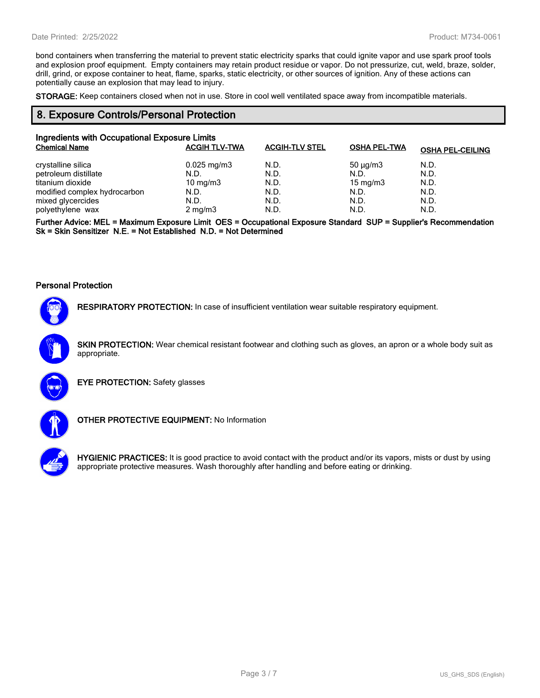bond containers when transferring the material to prevent static electricity sparks that could ignite vapor and use spark proof tools and explosion proof equipment. Empty containers may retain product residue or vapor. Do not pressurize, cut, weld, braze, solder, drill, grind, or expose container to heat, flame, sparks, static electricity, or other sources of ignition. Any of these actions can potentially cause an explosion that may lead to injury.

**STORAGE:** Keep containers closed when not in use. Store in cool well ventilated space away from incompatible materials.

#### **8. Exposure Controls/Personal Protection**

| Ingredients with Occupational Exposure Limits |                      |                       |                     |                         |  |
|-----------------------------------------------|----------------------|-----------------------|---------------------|-------------------------|--|
| <b>Chemical Name</b>                          | <b>ACGIH TLV-TWA</b> | <b>ACGIH-TLV STEL</b> | <b>OSHA PEL-TWA</b> | <b>OSHA PEL-CEILING</b> |  |
| crystalline silica                            | $0.025$ mg/m3        | N.D.                  | $50 \mu q/m3$       | N.D.                    |  |
| petroleum distillate                          | N.D.                 | N.D.                  | N.D.                | N.D.                    |  |
| titanium dioxide                              | $10 \text{ mg/m}$    | N.D.                  | $15 \text{ mg/m}$   | N.D.                    |  |
| modified complex hydrocarbon                  | N.D.                 | N.D.                  | N.D.                | N.D.                    |  |
| mixed glycercides                             | N.D.                 | N.D.                  | N.D.                | N.D.                    |  |
| polyethylene wax                              | $2 \text{ mg/m}$     | N.D.                  | N.D.                | N.D.                    |  |

**Further Advice: MEL = Maximum Exposure Limit OES = Occupational Exposure Standard SUP = Supplier's Recommendation Sk = Skin Sensitizer N.E. = Not Established N.D. = Not Determined**

#### **Personal Protection**



**RESPIRATORY PROTECTION:** In case of insufficient ventilation wear suitable respiratory equipment.

**SKIN PROTECTION:** Wear chemical resistant footwear and clothing such as gloves, an apron or a whole body suit as appropriate.



**EYE PROTECTION:** Safety glasses



**OTHER PROTECTIVE EQUIPMENT:** No Information



**HYGIENIC PRACTICES:** It is good practice to avoid contact with the product and/or its vapors, mists or dust by using appropriate protective measures. Wash thoroughly after handling and before eating or drinking.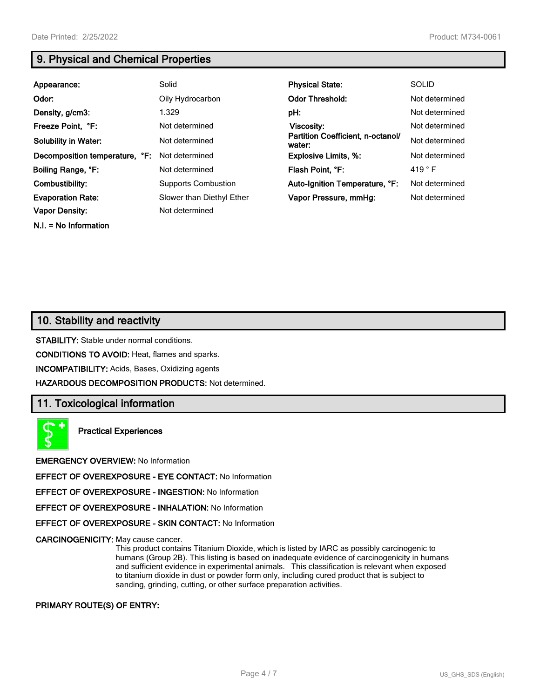**N.I. = No Information**

# **9. Physical and Chemical Properties**

| Appearance:                    | Solid                      | <b>Physical State:</b>                      | <b>SOLID</b>    |
|--------------------------------|----------------------------|---------------------------------------------|-----------------|
| Odor:                          | Oily Hydrocarbon           | <b>Odor Threshold:</b>                      | Not determined  |
| Density, g/cm3:                | 1.329                      | pH:                                         | Not determined  |
| Freeze Point, °F:              | Not determined             | Viscosity:                                  | Not determined  |
| <b>Solubility in Water:</b>    | Not determined             | Partition Coefficient, n-octanol/<br>water: | Not determined  |
| Decomposition temperature, °F: | Not determined             | <b>Explosive Limits, %:</b>                 | Not determined  |
| Boiling Range, °F:             | Not determined             | Flash Point, °F:                            | 419 $\degree$ F |
| Combustibility:                | <b>Supports Combustion</b> | Auto-Ignition Temperature, °F:              | Not determined  |
| <b>Evaporation Rate:</b>       | Slower than Diethyl Ether  | Vapor Pressure, mmHq:                       | Not determined  |
| <b>Vapor Density:</b>          | Not determined             |                                             |                 |

# **10. Stability and reactivity**

**STABILITY:** Stable under normal conditions.

**CONDITIONS TO AVOID:** Heat, flames and sparks.

**INCOMPATIBILITY:** Acids, Bases, Oxidizing agents

**HAZARDOUS DECOMPOSITION PRODUCTS:** Not determined.

# **11. Toxicological information**

**Practical Experiences**

**EMERGENCY OVERVIEW:** No Information

**EFFECT OF OVEREXPOSURE - EYE CONTACT:** No Information

**EFFECT OF OVEREXPOSURE - INGESTION:** No Information

**EFFECT OF OVEREXPOSURE - INHALATION:** No Information

**EFFECT OF OVEREXPOSURE - SKIN CONTACT:** No Information

**CARCINOGENICITY:** May cause cancer.

This product contains Titanium Dioxide, which is listed by IARC as possibly carcinogenic to humans (Group 2B). This listing is based on inadequate evidence of carcinogenicity in humans and sufficient evidence in experimental animals. This classification is relevant when exposed to titanium dioxide in dust or powder form only, including cured product that is subject to sanding, grinding, cutting, or other surface preparation activities.

#### **PRIMARY ROUTE(S) OF ENTRY:**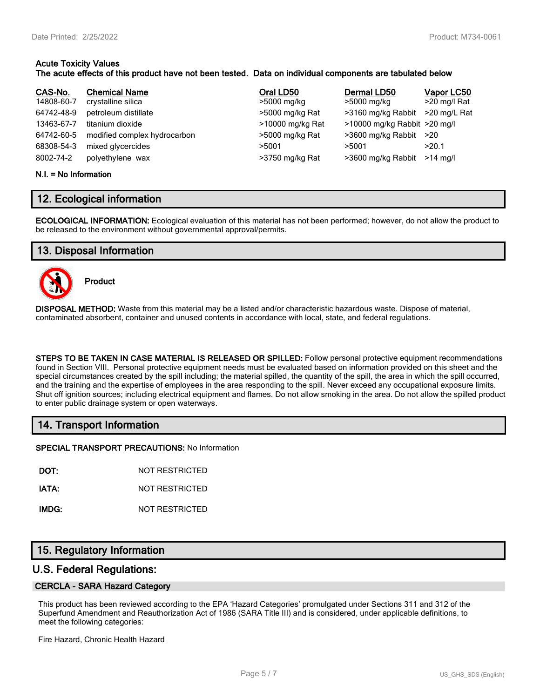#### **Acute Toxicity Values The acute effects of this product have not been tested. Data on individual components are tabulated below**

| CAS-No.<br>14808-60-7<br>64742-48-9<br>13463-67-7<br>64742-60-5<br>68308-54-3 | <b>Chemical Name</b><br>crystalline silica<br>petroleum distillate<br>titanium dioxide<br>modified complex hydrocarbon<br>mixed glycercides | Oral LD50<br>>5000 mg/kg<br>>5000 mg/kg Rat<br>>10000 mg/kg Rat<br>>5000 mg/kg Rat<br>>5001 | Dermal LD50<br>>5000 mg/kg<br>>3160 mg/kg Rabbit<br>>10000 mg/kg Rabbit >20 mg/l<br>>3600 mg/kg Rabbit<br>>5001 | Vapor LC50<br>>20 mg/l Rat<br>>20 mg/L Rat<br>>20<br>>20.1 |
|-------------------------------------------------------------------------------|---------------------------------------------------------------------------------------------------------------------------------------------|---------------------------------------------------------------------------------------------|-----------------------------------------------------------------------------------------------------------------|------------------------------------------------------------|
| 8002-74-2                                                                     | polyethylene wax                                                                                                                            | >3750 mg/kg Rat                                                                             | >3600 mg/kg Rabbit                                                                                              | $>14$ ma/l                                                 |

#### **N.I. = No Information**

# **12. Ecological information**

**ECOLOGICAL INFORMATION:** Ecological evaluation of this material has not been performed; however, do not allow the product to be released to the environment without governmental approval/permits.

# **13. Disposal Information**



**Product**

**DISPOSAL METHOD:** Waste from this material may be a listed and/or characteristic hazardous waste. Dispose of material, contaminated absorbent, container and unused contents in accordance with local, state, and federal regulations.

**STEPS TO BE TAKEN IN CASE MATERIAL IS RELEASED OR SPILLED:** Follow personal protective equipment recommendations found in Section VIII. Personal protective equipment needs must be evaluated based on information provided on this sheet and the special circumstances created by the spill including; the material spilled, the quantity of the spill, the area in which the spill occurred, and the training and the expertise of employees in the area responding to the spill. Never exceed any occupational exposure limits. Shut off ignition sources; including electrical equipment and flames. Do not allow smoking in the area. Do not allow the spilled product to enter public drainage system or open waterways.

# **14. Transport Information**

**SPECIAL TRANSPORT PRECAUTIONS:** No Information

**DOT:** NOT RESTRICTED

**IATA:** NOT RESTRICTED

**IMDG:** NOT RESTRICTED

# **15. Regulatory Information**

### **U.S. Federal Regulations:**

#### **CERCLA - SARA Hazard Category**

This product has been reviewed according to the EPA 'Hazard Categories' promulgated under Sections 311 and 312 of the Superfund Amendment and Reauthorization Act of 1986 (SARA Title III) and is considered, under applicable definitions, to meet the following categories:

Fire Hazard, Chronic Health Hazard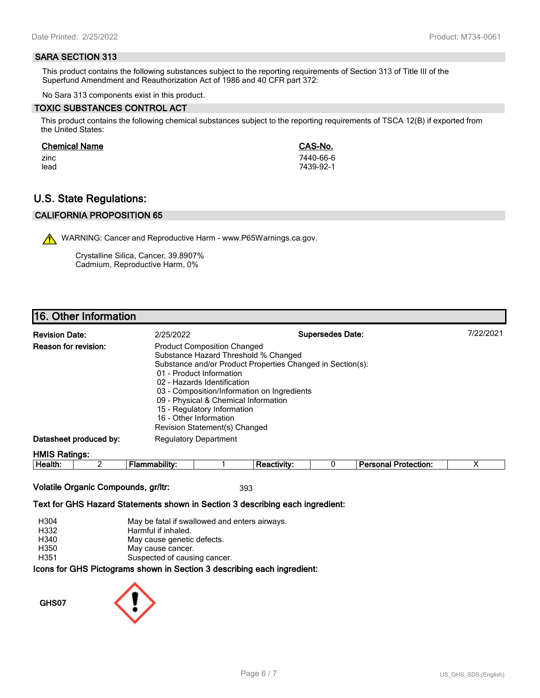#### **SARA SECTION 313**

This product contains the following substances subject to the reporting requirements of Section 313 of Title III of the Superfund Amendment and Reauthorization Act of 1986 and 40 CFR part 372:

No Sara 313 components exist in this product.

#### **TOXIC SUBSTANCES CONTROL ACT**

This product contains the following chemical substances subject to the reporting requirements of TSCA 12(B) if exported from the United States:

#### **Chemical Name CAS-No.**

zinc 7440-66-6 lead 7439-92-1

# **U.S. State Regulations:**

#### **CALIFORNIA PROPOSITION 65**

WARNING: Cancer and Reproductive Harm - www.P65Warnings.ca.gov.

Crystalline Silica, Cancer, 39.8907% Cadmium, Reproductive Harm, 0%

# **16. Other Information**

| <b>Revision Date:</b>  | 2/25/2022                                               | <b>Supersedes Date:</b>                                                                                                                                                                                                                                                                                                   | 7/22/2021 |
|------------------------|---------------------------------------------------------|---------------------------------------------------------------------------------------------------------------------------------------------------------------------------------------------------------------------------------------------------------------------------------------------------------------------------|-----------|
| Reason for revision:   | 16 - Other Information<br>Revision Statement(s) Changed | <b>Product Composition Changed</b><br>Substance Hazard Threshold % Changed<br>Substance and/or Product Properties Changed in Section(s):<br>01 - Product Information<br>02 - Hazards Identification<br>03 - Composition/Information on Ingredients<br>09 - Physical & Chemical Information<br>15 - Regulatory Information |           |
| Datasheet produced by: | <b>Regulatory Department</b>                            |                                                                                                                                                                                                                                                                                                                           |           |
| <b>HMIS Ratings:</b>   |                                                         |                                                                                                                                                                                                                                                                                                                           |           |

| пt<br>--- | - |  |  | .<br>ою<br>чиог.<br>1 I C |  |
|-----------|---|--|--|---------------------------|--|
|           |   |  |  |                           |  |

#### **Volatile Organic Compounds, gr/ltr:** 393

#### **Text for GHS Hazard Statements shown in Section 3 describing each ingredient:**

| H304 | May be fatal if swallowed and enters airways.                   |
|------|-----------------------------------------------------------------|
| H332 | Harmful if inhaled.                                             |
| H340 | May cause genetic defects.                                      |
| H350 | May cause cancer.                                               |
| H351 | Suspected of causing cancer.                                    |
|      | cons for GHS Pictograms shown in Section 3 describing each ingr |

# ams snown in Section 3 describing each ingredient<mark>:</mark>

**GHS07**